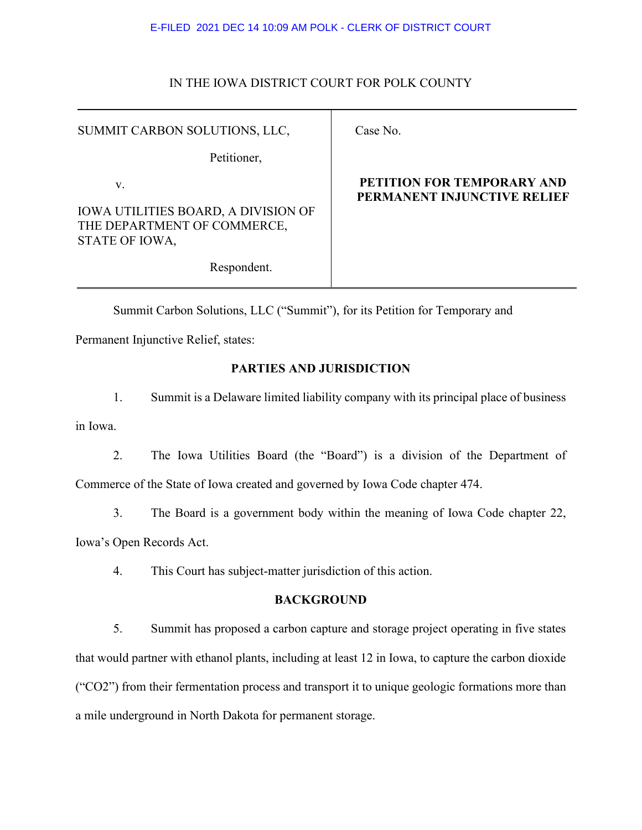## IN THE IOWA DISTRICT COURT FOR POLK COUNTY

| SUMMIT CARBON SOLUTIONS, LLC,                                                               |  |
|---------------------------------------------------------------------------------------------|--|
| Petitioner,                                                                                 |  |
| V.                                                                                          |  |
| <b>IOWA UTILITIES BOARD, A DIVISION OF</b><br>THE DEPARTMENT OF COMMERCE,<br>STATE OF IOWA, |  |
| Respondent.                                                                                 |  |

# Case No.

## **PETITION FOR TEMPORARY AND PERMANENT INJUNCTIVE RELIEF**

Summit Carbon Solutions, LLC ("Summit"), for its Petition for Temporary and

Permanent Injunctive Relief, states:

## **PARTIES AND JURISDICTION**

1. Summit is a Delaware limited liability company with its principal place of business in Iowa.

2. The Iowa Utilities Board (the "Board") is a division of the Department of Commerce of the State of Iowa created and governed by Iowa Code chapter 474.

3. The Board is a government body within the meaning of Iowa Code chapter 22,

Iowa's Open Records Act.

4. This Court has subject-matter jurisdiction of this action.

## **BACKGROUND**

5. Summit has proposed a carbon capture and storage project operating in five states that would partner with ethanol plants, including at least 12 in Iowa, to capture the carbon dioxide ("CO2") from their fermentation process and transport it to unique geologic formations more than a mile underground in North Dakota for permanent storage.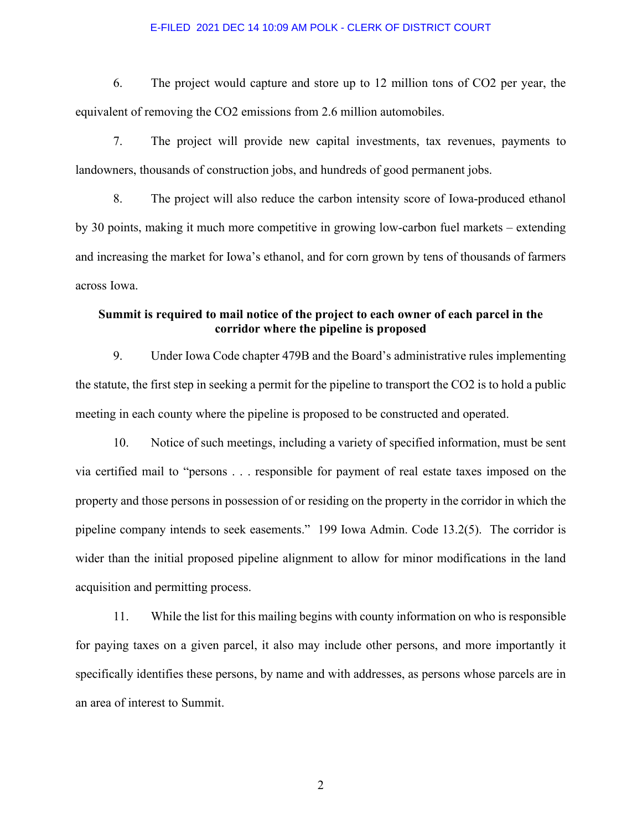6. The project would capture and store up to 12 million tons of CO2 per year, the equivalent of removing the CO2 emissions from 2.6 million automobiles.

7. The project will provide new capital investments, tax revenues, payments to landowners, thousands of construction jobs, and hundreds of good permanent jobs.

8. The project will also reduce the carbon intensity score of Iowa-produced ethanol by 30 points, making it much more competitive in growing low-carbon fuel markets – extending and increasing the market for Iowa's ethanol, and for corn grown by tens of thousands of farmers across Iowa.

# **Summit is required to mail notice of the project to each owner of each parcel in the corridor where the pipeline is proposed**

9. Under Iowa Code chapter 479B and the Board's administrative rules implementing the statute, the first step in seeking a permit for the pipeline to transport the CO2 is to hold a public meeting in each county where the pipeline is proposed to be constructed and operated.

10. Notice of such meetings, including a variety of specified information, must be sent via certified mail to "persons . . . responsible for payment of real estate taxes imposed on the property and those persons in possession of or residing on the property in the corridor in which the pipeline company intends to seek easements." 199 Iowa Admin. Code 13.2(5). The corridor is wider than the initial proposed pipeline alignment to allow for minor modifications in the land acquisition and permitting process.

11. While the list for this mailing begins with county information on who is responsible for paying taxes on a given parcel, it also may include other persons, and more importantly it specifically identifies these persons, by name and with addresses, as persons whose parcels are in an area of interest to Summit.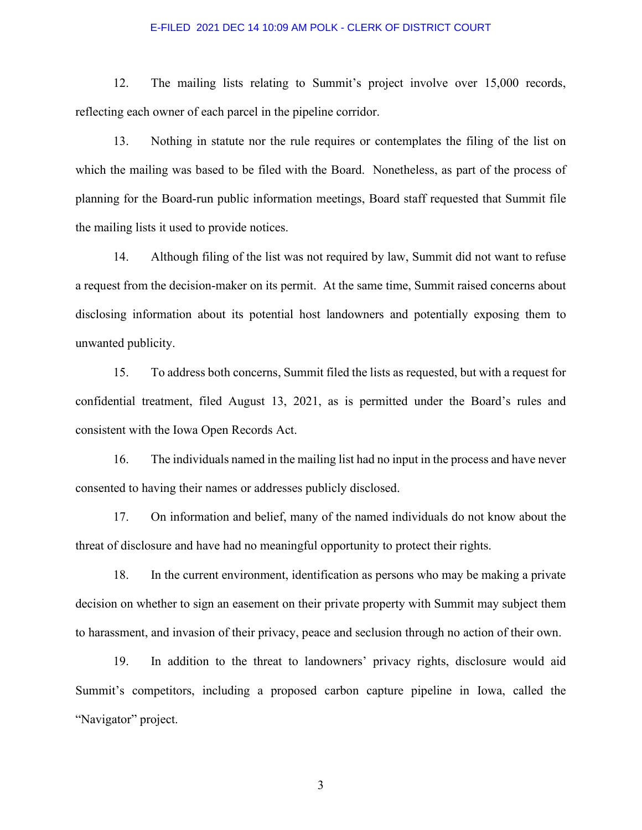12. The mailing lists relating to Summit's project involve over 15,000 records, reflecting each owner of each parcel in the pipeline corridor.

13. Nothing in statute nor the rule requires or contemplates the filing of the list on which the mailing was based to be filed with the Board. Nonetheless, as part of the process of planning for the Board-run public information meetings, Board staff requested that Summit file the mailing lists it used to provide notices.

14. Although filing of the list was not required by law, Summit did not want to refuse a request from the decision-maker on its permit. At the same time, Summit raised concerns about disclosing information about its potential host landowners and potentially exposing them to unwanted publicity.

15. To address both concerns, Summit filed the lists as requested, but with a request for confidential treatment, filed August 13, 2021, as is permitted under the Board's rules and consistent with the Iowa Open Records Act.

16. The individuals named in the mailing list had no input in the process and have never consented to having their names or addresses publicly disclosed.

17. On information and belief, many of the named individuals do not know about the threat of disclosure and have had no meaningful opportunity to protect their rights.

18. In the current environment, identification as persons who may be making a private decision on whether to sign an easement on their private property with Summit may subject them to harassment, and invasion of their privacy, peace and seclusion through no action of their own.

19. In addition to the threat to landowners' privacy rights, disclosure would aid Summit's competitors, including a proposed carbon capture pipeline in Iowa, called the "Navigator" project.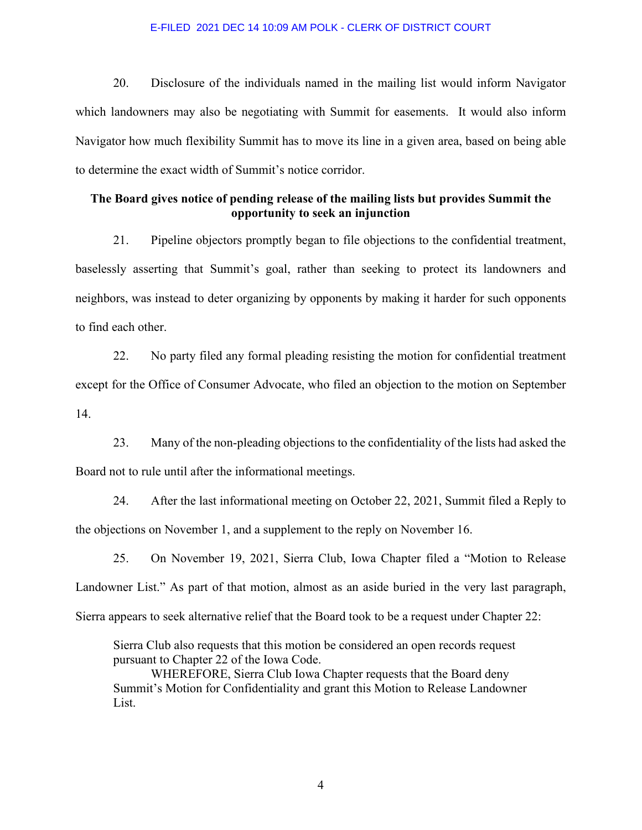20. Disclosure of the individuals named in the mailing list would inform Navigator which landowners may also be negotiating with Summit for easements. It would also inform Navigator how much flexibility Summit has to move its line in a given area, based on being able to determine the exact width of Summit's notice corridor.

## **The Board gives notice of pending release of the mailing lists but provides Summit the opportunity to seek an injunction**

21. Pipeline objectors promptly began to file objections to the confidential treatment, baselessly asserting that Summit's goal, rather than seeking to protect its landowners and neighbors, was instead to deter organizing by opponents by making it harder for such opponents to find each other.

22. No party filed any formal pleading resisting the motion for confidential treatment except for the Office of Consumer Advocate, who filed an objection to the motion on September 14.

23. Many of the non-pleading objections to the confidentiality of the lists had asked the Board not to rule until after the informational meetings.

24. After the last informational meeting on October 22, 2021, Summit filed a Reply to the objections on November 1, and a supplement to the reply on November 16.

25. On November 19, 2021, Sierra Club, Iowa Chapter filed a "Motion to Release Landowner List." As part of that motion, almost as an aside buried in the very last paragraph, Sierra appears to seek alternative relief that the Board took to be a request under Chapter 22:

Sierra Club also requests that this motion be considered an open records request pursuant to Chapter 22 of the Iowa Code.

WHEREFORE, Sierra Club Iowa Chapter requests that the Board deny Summit's Motion for Confidentiality and grant this Motion to Release Landowner List.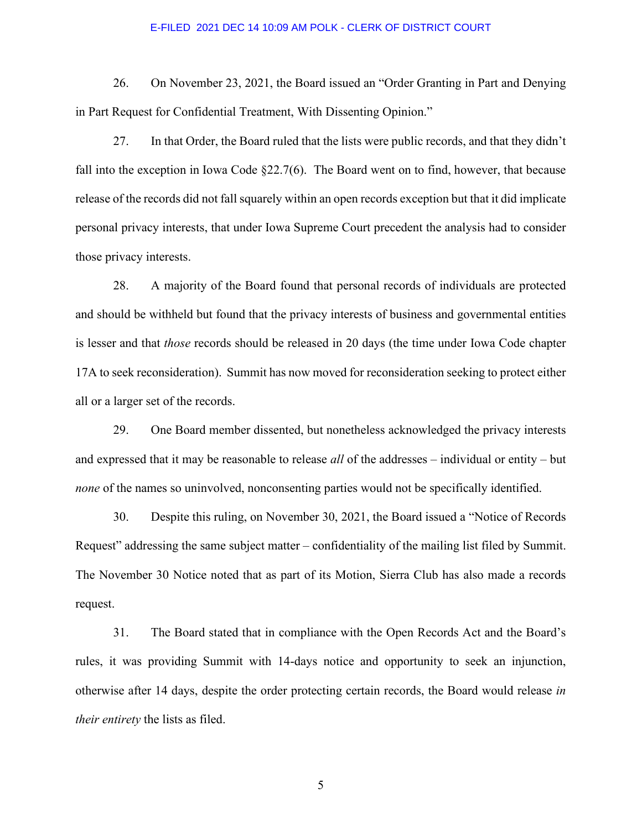26. On November 23, 2021, the Board issued an "Order Granting in Part and Denying in Part Request for Confidential Treatment, With Dissenting Opinion."

27. In that Order, the Board ruled that the lists were public records, and that they didn't fall into the exception in Iowa Code §22.7(6). The Board went on to find, however, that because release of the records did not fall squarely within an open records exception but that it did implicate personal privacy interests, that under Iowa Supreme Court precedent the analysis had to consider those privacy interests.

28. A majority of the Board found that personal records of individuals are protected and should be withheld but found that the privacy interests of business and governmental entities is lesser and that *those* records should be released in 20 days (the time under Iowa Code chapter 17A to seek reconsideration). Summit has now moved for reconsideration seeking to protect either all or a larger set of the records.

29. One Board member dissented, but nonetheless acknowledged the privacy interests and expressed that it may be reasonable to release *all* of the addresses – individual or entity – but *none* of the names so uninvolved, nonconsenting parties would not be specifically identified.

30. Despite this ruling, on November 30, 2021, the Board issued a "Notice of Records Request" addressing the same subject matter – confidentiality of the mailing list filed by Summit. The November 30 Notice noted that as part of its Motion, Sierra Club has also made a records request.

31. The Board stated that in compliance with the Open Records Act and the Board's rules, it was providing Summit with 14-days notice and opportunity to seek an injunction, otherwise after 14 days, despite the order protecting certain records, the Board would release *in their entirety* the lists as filed.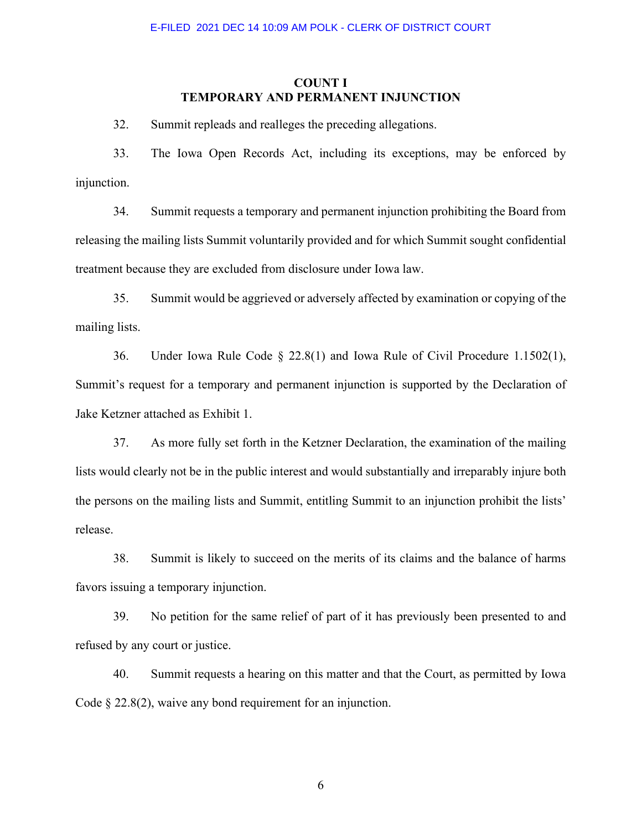### **COUNT I TEMPORARY AND PERMANENT INJUNCTION**

32. Summit repleads and realleges the preceding allegations.

33. The Iowa Open Records Act, including its exceptions, may be enforced by injunction.

34. Summit requests a temporary and permanent injunction prohibiting the Board from releasing the mailing lists Summit voluntarily provided and for which Summit sought confidential treatment because they are excluded from disclosure under Iowa law.

35. Summit would be aggrieved or adversely affected by examination or copying of the mailing lists.

36. Under Iowa Rule Code § 22.8(1) and Iowa Rule of Civil Procedure 1.1502(1), Summit's request for a temporary and permanent injunction is supported by the Declaration of Jake Ketzner attached as Exhibit 1.

37. As more fully set forth in the Ketzner Declaration, the examination of the mailing lists would clearly not be in the public interest and would substantially and irreparably injure both the persons on the mailing lists and Summit, entitling Summit to an injunction prohibit the lists' release.

38. Summit is likely to succeed on the merits of its claims and the balance of harms favors issuing a temporary injunction.

39. No petition for the same relief of part of it has previously been presented to and refused by any court or justice.

40. Summit requests a hearing on this matter and that the Court, as permitted by Iowa Code § 22.8(2), waive any bond requirement for an injunction.